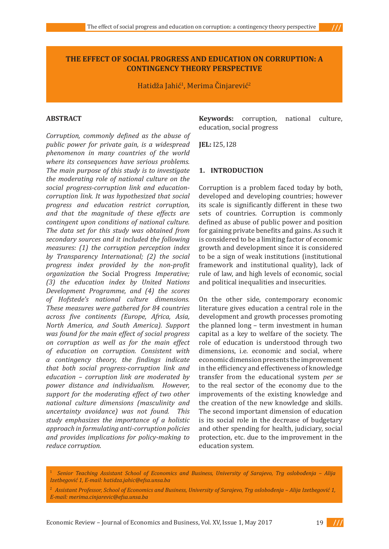$111$ 

# **THE EFFECT OF SOCIAL PROGRESS AND EDUCATION ON CORRUPTION: A CONTINGENCY THEORY PERSPECTIVE**

Hatidža Jahić<sup>1</sup>, Merima Cinjarević<sup>2</sup>

#### **ABSTRACT**

*Corruption, commonly defined as the abuse of public power for private gain, is a widespread phenomenon in many countries of the world where its consequences have serious problems. The main purpose of this study is to investigate the moderating role of national culture on the social progress-corruption link and educationcorruption link. It was hypothesized that social progress and education restrict corruption, and that the magnitude of these effects are contingent upon conditions of national culture. The data set for this study was obtained from secondary sources and it included the following measures: (1) the corruption perception index by Transparency International; (2) the social progress index provided by the non-profit organization the* Social Progress *Imperative; (3) the education index by United Nations Development Programme, and (4) the scores of Hofstede's national culture dimensions. These measures were gathered for 84 countries across five continents (Europe, Africa, Asia, North America, and South America). Support was found for the main effect of social progress on corruption as well as for the main effect of education on corruption. Consistent with a contingency theory, the findings indicate that both social progress-corruption link and education – corruption link are moderated by power distance and individualism. However, support for the moderating effect of two other national culture dimensions (masculinity and uncertainty avoidance) was not found. This study emphasizes the importance of a holistic approach in formulating anti-corruption policies and provides implications for policy-making to reduce corruption.* 

**Keywords:** corruption, national culture, education, social progress

**JEL:** I25, I28

### **1. INTRODUCTION**

Corruption is a problem faced today by both, developed and developing countries; however its scale is significantly different in these two sets of countries. Corruption is commonly defined as abuse of public power and position for gaining private benefits and gains. As such it is considered to be a limiting factor of economic growth and development since it is considered to be a sign of weak institutions (institutional framework and institutional quality), lack of rule of law, and high levels of economic, social and political inequalities and insecurities.

On the other side, contemporary economic literature gives education a central role in the development and growth processes promoting the planned long – term investment in human capital as a key to welfare of the society. The role of education is understood through two dimensions, i.e. economic and social, where economic dimension presents the improvement in the efficiency and effectiveness of knowledge transfer from the educational system *per se* to the real sector of the economy due to the improvements of the existing knowledge and the creation of the new knowledge and skills. The second important dimension of education is its social role in the decrease of budgetary and other spending for health, judiciary, social protection, etc. due to the improvement in the education system.

<sup>1</sup> *Senior Teaching Assistant School of Economics and Business, University of Sarajevo, Trg oslobođenja – Alija Izetbegović 1, E-mail: hatidza.jahic@efsa.unsa.ba*

<sup>2</sup> *Assistant Professor, School of Economics and Business, University of Sarajevo, Trg oslobođenja – Alija Izetbegović 1, E-mail: merima.cinjarevic@efsa.unsa.ba*

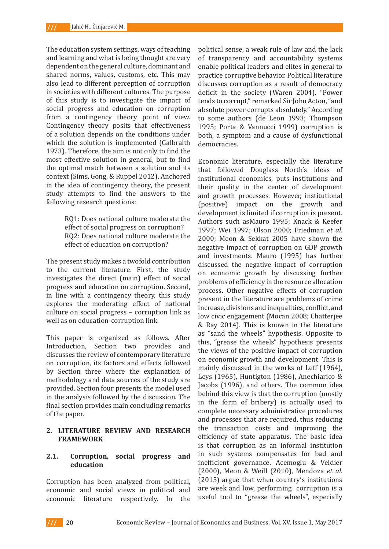The education system settings, ways of teaching and learning and what is being thought are very dependent on the general culture, dominant and shared norms, values, customs, etc. This may also lead to different perception of corruption in societies with different cultures. The purpose of this study is to investigate the impact of social progress and education on corruption from a contingency theory point of view. Contingency theory posits that effectiveness of a solution depends on the conditions under which the solution is implemented (Galbraith 1973). Therefore, the aim is not only to find the most effective solution in general, but to find the optimal match between a solution and its context (Sims, Gong, & Ruppel 2012). Anchored in the idea of contingency theory, the present study attempts to find the answers to the following research questions:

> RQ1: Does national culture moderate the effect of social progress on corruption? RQ2: Does national culture moderate the effect of education on corruption?

The present study makes a twofold contribution to the current literature. First, the study investigates the direct (main) effect of social progress and education on corruption. Second, in line with a contingency theory, this study explores the moderating effect of national culture on social progress – corruption link as well as on education-corruption link.

This paper is organized as follows. After Introduction, Section two provides and discusses the review of contemporary literature on corruption, its factors and effects followed by Section three where the explanation of methodology and data sources of the study are provided. Section four presents the model used in the analysis followed by the discussion. The final section provides main concluding remarks of the paper.

### **2. LITERATURE REVIEW AND RESEARCH FRAMEWORK**

### **2.1. Corruption, social progress and education**

Corruption has been analyzed from political, economic and social views in political and<br>economic literature respectively. In the economic literature respectively. In

political sense, a weak rule of law and the lack of transparency and accountability systems enable political leaders and elites in general to practice corruptive behavior. Political literature discusses corruption as a result of democracy deficit in the society (Waren 2004). "Power tends to corrupt," remarked Sir John Acton, "and absolute power corrupts absolutely." According to some authors (de Leon 1993; Thompson 1995; Porta & Vannucci 1999) corruption is both, a symptom and a cause of dysfunctional democracies.

Economic literature, especially the literature that followed Douglass North's ideas of institutional economics, puts institutions and their quality in the center of development and growth processes. However, institutional (positive) impact on the growth and development is limited if corruption is present. Authors such asMauro 1995; Knack & Keefer 1997; Wei 1997; Olson 2000; Friedman *et al.* 2000; Meon & Sekkat 2005 have shown the negative impact of corruption on GDP growth and investments. Mauro (1995) has further discussed the negative impact of corruption on economic growth by discussing further problems of efficiency in the resource allocation process. Other negative effects of corruption present in the literature are problems of crime increase, divisions and inequalities, conflict, and low civic engagement (Mocan 2008; Chatterjee & Ray 2014). This is known in the literature as "sand the wheels" hypothesis. Opposite to this, "grease the wheels" hypothesis presents the views of the positive impact of corruption on economic growth and development. This is mainly discussed in the works of Leff (1964), Leys (1965), Huntigton (1986), Anechiarico & Jacobs (1996), and others. The common idea behind this view is that the corruption (mostly in the form of bribery) is actually used to complete necessary administrative procedures and processes that are required, thus reducing the transaction costs and improving the efficiency of state apparatus. The basic idea is that corruption as an informal institution in such systems compensates for bad and inefficient governance. Acemoglu & Veidier (2000), Meon & Weill (2010), Mendoza *et al.* (2015) argue that when country's institutions are week and low, performing corruption is a useful tool to "grease the wheels", especially

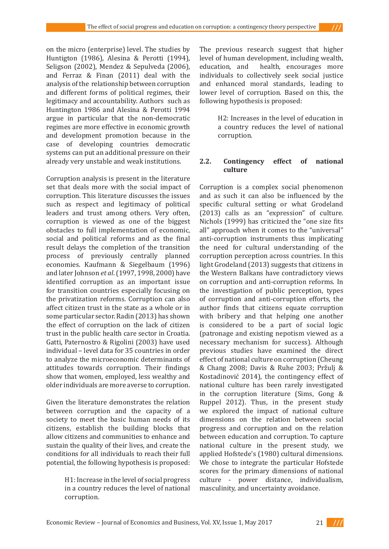on the micro (enterprise) level. The studies by Huntigton (1986), Alesina & Perotti (1994), Seligson (2002), Mendez & Sepulveda (2006), and Ferraz & Finan (2011) deal with the analysis of the relationship between corruption and different forms of political regimes, their legitimacy and accountability. Authors such as Huntington 1986 and Alesina & Perotti 1994 argue in particular that the non-democratic regimes are more effective in economic growth and development promotion because in the case of developing countries democratic systems can put an additional pressure on their already very unstable and weak institutions.

Corruption analysis is present in the literature set that deals more with the social impact of corruption. This literature discusses the issues such as respect and legitimacy of political leaders and trust among others. Very often, corruption is viewed as one of the biggest obstacles to full implementation of economic, social and political reforms and as the final result delays the completion of the transition process of previously centrally planned economies. Kaufmann & Siegelbaum (1996) and later Johnson *et al*. (1997, 1998, 2000) have identified corruption as an important issue for transition countries especially focusing on the privatization reforms. Corruption can also affect citizen trust in the state as a whole or in some particular sector. Radin (2013) has shown the effect of corruption on the lack of citizen trust in the public health care sector in Croatia. Gatti, Paternostro & Rigolini (2003) have used individual – level data for 35 countries in order to analyze the microeconomic determinants of attitudes towards corruption. Their findings show that women, employed, less wealthy and older individuals are more averse to corruption.

Given the literature demonstrates the relation between corruption and the capacity of a society to meet the basic human needs of its citizens, establish the building blocks that allow citizens and communities to enhance and sustain the quality of their lives, and create the conditions for all individuals to reach their full potential, the following hypothesis is proposed:

> H1: Increase in the level of social progress in a country reduces the level of national corruption.

The previous research suggest that higher level of human development, including wealth, health, encourages more individuals to collectively seek social justice and enhanced moral standards, leading to lower level of corruption. Based on this, the following hypothesis is proposed:

> H2: Increases in the level of education in a country reduces the level of national corruption.

## **2.2. Contingency effect of national culture**

Corruption is a complex social phenomenon and as such it can also be influenced by the specific cultural setting or what Grodeland (2013) calls as an "expression" of culture. Nichols (1999) has criticized the "one size fits all" approach when it comes to the "universal" anti-corruption instruments thus implicating the need for cultural understanding of the corruption perception across countries. In this light Grodeland (2013) suggests that citizens in the Western Balkans have contradictory views on corruption and anti-corruption reforms. In the investigation of public perception, types of corruption and anti-corruption efforts, the author finds that citizens equate corruption with bribery and that helping one another is considered to be a part of social logic (patronage and existing nepotism viewed as a necessary mechanism for success). Although previous studies have examined the direct effect of national culture on corruption (Cheung & Chang 2008; Davis & Ruhe 2003; Pržulj & Kostadinović 2014), the contingency effect of national culture has been rarely investigated in the corruption literature (Sims, Gong & Ruppel 2012). Thus, in the present study we explored the impact of national culture dimensions on the relation between social progress and corruption and on the relation between education and corruption. To capture national culture in the present study, we applied Hofstede's (1980) cultural dimensions. We chose to integrate the particular Hofstede scores for the primary dimensions of national culture - power distance, individualism, masculinity, and uncertainty avoidance.

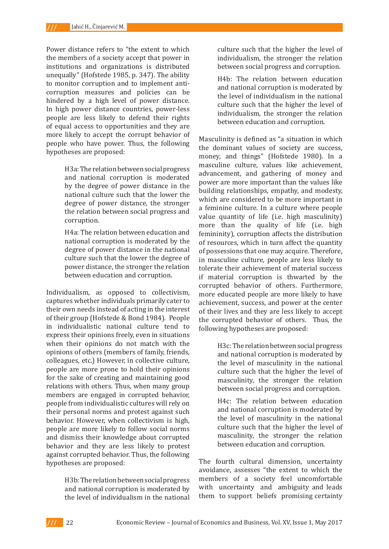Power distance refers to "the extent to which the members of a society accept that power in institutions and organizations is distributed unequally" (Hofstede 1985, p. 347). The ability to monitor corruption and to implement anticorruption measures and policies can be hindered by a high level of power distance. In high power distance countries, power-less people are less likely to defend their rights of equal access to opportunities and they are more likely to accept the corrupt behavior of people who have power. Thus, the following hypotheses are proposed:

> H3a: The relation between social progress and national corruption is moderated by the degree of power distance in the national culture such that the lower the degree of power distance, the stronger the relation between social progress and corruption.

> H4a: The relation between education and national corruption is moderated by the degree of power distance in the national culture such that the lower the degree of power distance, the stronger the relation between education and corruption.

Individualism, as opposed to collectivism, captures whether individuals primarily cater to their own needs instead of acting in the interest of their group (Hofstede & Bond 1984). People in individualistic national culture tend to express their opinions freely, even in situations when their opinions do not match with the opinions of others (members of family, friends, colleagues, etc.) However, in collective culture, people are more prone to hold their opinions for the sake of creating and maintaining good relations with others. Thus, when many group members are engaged in corrupted behavior, people from individualistic cultures will rely on their personal norms and protest against such behavior. However, when collectivism is high, people are more likely to follow social norms and dismiss their knowledge about corrupted behavior and they are less likely to protest against corrupted behavior. Thus, the following hypotheses are proposed:

> H3b: The relation between social progress and national corruption is moderated by the level of individualism in the national

culture such that the higher the level of individualism, the stronger the relation between social progress and corruption.

H4b: The relation between education and national corruption is moderated by the level of individualism in the national culture such that the higher the level of individualism, the stronger the relation between education and corruption.

Masculinity is defined as "a situation in which the dominant values of society are success, money, and things" (Hofstede 1980). In a masculine culture, values like achievement, advancement, and gathering of money and power are more important than the values like building relationships, empathy, and modesty, which are considered to be more important in a feminine culture. In a culture where people value quantity of life (i.e. high masculinity) more than the quality of life (i.e. high femininity), corruption affects the distribution of resources, which in turn affect the quantity of possessions that one may acquire. Therefore, in masculine culture, people are less likely to tolerate their achievement of material success if material corruption is thwarted by the corrupted behavior of others. Furthermore, more educated people are more likely to have achievement, success, and power at the center of their lives and they are less likely to accept the corrupted behavior of others. Thus, the following hypotheses are proposed:

> H3c: The relation between social progress and national corruption is moderated by the level of masculinity in the national culture such that the higher the level of masculinity, the stronger the relation between social progress and corruption.

> H4c: The relation between education and national corruption is moderated by the level of masculinity in the national culture such that the higher the level of masculinity, the stronger the relation between education and corruption.

The fourth cultural dimension, uncertainty avoidance, assesses "the extent to which the members of a society feel uncomfortable with uncertainty and ambiguity and leads them to support beliefs promising certainty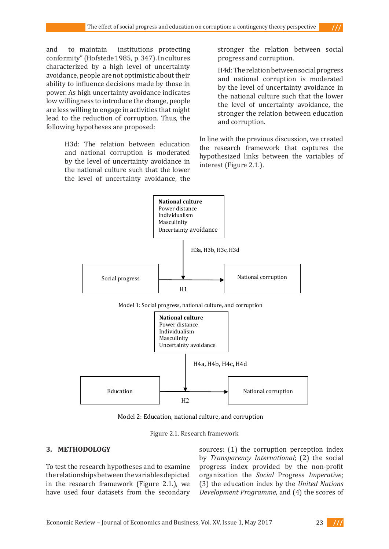and to maintain institutions protecting conformity" (Hofstede 1985, p. 347). In cultures characterized by a high level of uncertainty avoidance, people are not optimistic about their ability to influence decisions made by those in power. As high uncertainty avoidance indicates low willingness to introduce the change, people are less willing to engage in activities that might lead to the reduction of corruption. Thus, the following hypotheses are proposed:

> H3d: The relation between education and national corruption is moderated by the level of uncertainty avoidance in the national culture such that the lower the level of uncertainty avoidance, the

stronger the relation between social progress and corruption.

H4d: The relation between social progress and national corruption is moderated by the level of uncertainty avoidance in the national culture such that the lower the level of uncertainty avoidance, the stronger the relation between education and corruption.

In line with the previous discussion, we created the research framework that captures the hypothesized links between the variables of interest (Figure 2.1.).





Model 2: Education, national culture, and corruption

Figure 2.1. Research framework Figure 2.1. Research framework

## **3. METHODOLOGY 3. METHODOLOGY**

To test the research hypotheses and to examine progress index provided by the non-pr the relationships between the variables depicted organization the Social Progress Imperat in the research framework (Figure 2.1.), we (3) the education index by the *United Nati* have used four datasets from the secondary *Development Programme*, and (4) the score

sources: (1) the corruption perception index by *Transparency International*; (2) the social progress index provided by the non-profit organization the *Social* Progress *Imperative*; (3) the education index by the *United Nations Development Programme*, and (4) the scores of

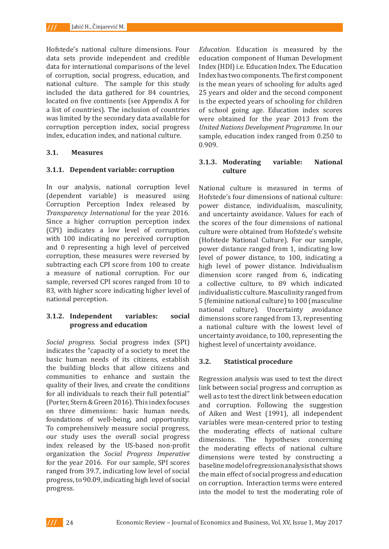Hofstede's national culture dimensions. Four data sets provide independent and credible data for international comparisons of the level of corruption, social progress, education, and national culture. The sample for this study included the data gathered for 84 countries, located on five continents (see Appendix A for a list of countries). The inclusion of countries was limited by the secondary data available for corruption perception index, social progress index, education index, and national culture.

### **3.1. Measures**

### **3.1.1. Dependent variable: corruption**

In our analysis, national corruption level (dependent variable) is measured using Corruption Perception Index released by *Transparency International* for the year 2016. Since a higher corruption perception index (CPI) indicates a low level of corruption, with 100 indicating no perceived corruption and 0 representing a high level of perceived corruption, these measures were reversed by subtracting each CPI score from 100 to create a measure of national corruption. For our sample, reversed CPI scores ranged from 10 to 83, with higher score indicating higher level of national perception.

### **3.1.2. Independent variables: social progress and education**

*Social progress.* Social progress index (SPI) indicates the "capacity of a society to meet the basic human needs of its citizens, establish the building blocks that allow citizens and communities to enhance and sustain the quality of their lives, and create the conditions for all individuals to reach their full potential" (Porter, Stern & Green 2016). This index focuses on three dimensions: basic human needs, foundations of well-being, and opportunity. To comprehensively measure social progress, our study uses the overall social progress index released by the US-based non-profit organization the *Social Progress Imperative* for the year 2016. For our sample, SPI scores ranged from 39.7, indicating low level of social progress, to 90.09, indicating high level of social progress.

*Education*. Education is measured by the education component of Human Development Index (HDI) i.e. Education Index. The Education Index has two components. The first component is the mean years of schooling for adults aged 25 years and older and the second component is the expected years of schooling for children of school going age. Education index scores were obtained for the year 2013 from the *United Nations Development Programme*. In our sample, education index ranged from 0.250 to 0.909.

### **3.1.3. Moderating variable: National culture**

National culture is measured in terms of Hofstede's four dimensions of national culture: power distance, individualism, masculinity, and uncertainty avoidance. Values for each of the scores of the four dimensions of national culture were obtained from Hofstede's website (Hofstede National Culture). For our sample, power distance ranged from 1, indicating low level of power distance, to 100, indicating a high level of power distance. Individualism dimension score ranged from 6, indicating a collective culture, to 89 which indicated individualistic culture. Masculinity ranged from 5 (feminine national culture) to 100 (masculine national culture). Uncertainty avoidance dimensions score ranged from 13, representing a national culture with the lowest level of uncertainty avoidance, to 100, representing the highest level of uncertainty avoidance.

## **3.2. Statistical procedure**

Regression analysis was used to test the direct link between social progress and corruption as well as to test the direct link between education and corruption. Following the suggestion of Aiken and West (1991), all independent variables were mean-centered prior to testing the moderating effects of national culture<br>dimensions. The hypotheses concerning The hypotheses concerning the moderating effects of national culture dimensions were tested by constructing a baseline model of regression analysis that shows the main effect of social progress and education on corruption. Interaction terms were entered into the model to test the moderating role of

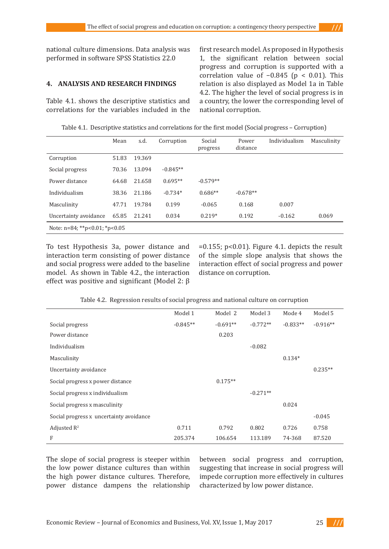national culture dimensions. Data analysis was performed in software SPSS Statistics 22.0

### **4. ANALYSIS AND RESEARCH FINDINGS**

Table 4.1. shows the descriptive statistics and correlations for the variables included in the first research model. As proposed in Hypothesis 1, the significant relation between social progress and corruption is supported with a correlation value of −0.845 (p < 0.01). This relation is also displayed as Model 1a in Table 4.2. The higher the level of social progress is in a country, the lower the corresponding level of national corruption.

| Table 4.1. Descriptive statistics and correlations for the first model (Social progress – Corruption) |  |
|-------------------------------------------------------------------------------------------------------|--|
|-------------------------------------------------------------------------------------------------------|--|

|                                  | Mean  | s.d.   | Corruption | Social<br>progress | Power<br>distance | Individualism | Masculinity |
|----------------------------------|-------|--------|------------|--------------------|-------------------|---------------|-------------|
| Corruption                       | 51.83 | 19.369 |            |                    |                   |               |             |
| Social progress                  | 70.36 | 13.094 | $-0.845**$ |                    |                   |               |             |
| Power distance                   | 64.68 | 21.658 | $0.695**$  | $-0.579**$         |                   |               |             |
| Individualism                    | 38.36 | 21.186 | $-0.734*$  | $0.686**$          | $-0.678**$        |               |             |
| Masculinity                      | 47.71 | 19.784 | 0.199      | $-0.065$           | 0.168             | 0.007         |             |
| Uncertainty avoidance            | 65.85 | 21.241 | 0.034      | $0.219*$           | 0.192             | $-0.162$      | 0.069       |
| Note: $n=84$ ; **p<0.01; *p<0.05 |       |        |            |                    |                   |               |             |

To test Hypothesis 3a, power distance and interaction term consisting of power distance and social progress were added to the baseline model. As shown in Table 4.2., the interaction effect was positive and significant (Model 2: β

 $=0.155$ ; p<0.01). Figure 4.1. depicts the result of the simple slope analysis that shows the interaction effect of social progress and power distance on corruption.

|                                         | Model 1    | Model 2    | Model 3    | Mode 4     | Model 5    |
|-----------------------------------------|------------|------------|------------|------------|------------|
| Social progress                         | $-0.845**$ | $-0.691**$ | $-0.772**$ | $-0.833**$ | $-0.916**$ |
| Power distance                          |            | 0.203      |            |            |            |
| Individualism                           |            |            | $-0.082$   |            |            |
| Masculinity                             |            |            |            | $0.134*$   |            |
| Uncertainty avoidance                   |            |            |            |            | $0.235**$  |
| Social progress x power distance        |            | $0.175**$  |            |            |            |
| Social progress x individualism         |            |            | $-0.271**$ |            |            |
| Social progress x masculinity           |            |            |            | 0.024      |            |
| Social progress x uncertainty avoidance |            |            |            |            | $-0.045$   |
| Adjusted $R^2$                          | 0.711      | 0.792      | 0.802      | 0.726      | 0.758      |
| F                                       | 205.374    | 106.654    | 113.189    | 74-368     | 87.520     |

Table 4.2. Regression results of social progress and national culture on corruption

The slope of social progress is steeper within the low power distance cultures than within the high power distance cultures. Therefore, power distance dampens the relationship between social progress and corruption, suggesting that increase in social progress will impede corruption more effectively in cultures characterized by low power distance.

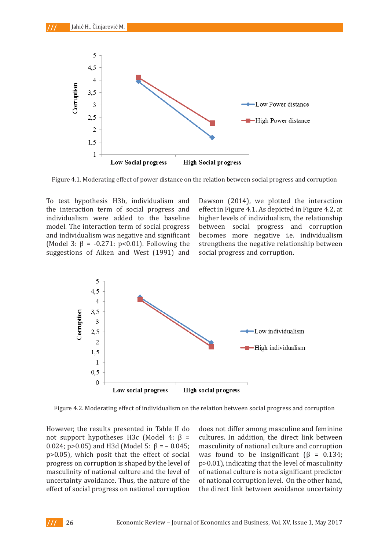

Figure 4.1. Moderating effect of power distance on the relation between social progress and corruption

To test hypothesis H3b, individualism and the interaction term of social progress and individualism were added to the baseline model. The interaction term of social progress and individualism was negative and significant (Model 3:  $\beta$  = -0.271: p<0.01). Following the suggestions of Aiken and West (1991) and Dawson (2014), we plotted the interaction effect in Figure 4.1. As depicted in Figure 4.2, at higher levels of individualism, the relationship between social progress and corruption becomes more negative i.e. individualism strengthens the negative relationship between social progress and corruption.



Figure 4.2. Moderating effect of individualism on the relation between social progress and corruption

However, the results presented in Table II do not support hypotheses H3c (Model 4: β = 0.024; p>0.05) and H3d (Model 5:  $\beta$  = -0.045; p>0.05), which posit that the effect of social progress on corruption is shaped by the level of masculinity of national culture and the level of uncertainty avoidance. Thus, the nature of the effect of social progress on national corruption

does not differ among masculine and feminine cultures. In addition, the direct link between masculinity of national culture and corruption was found to be insignificant  $(\beta = 0.134)$ ; p>0.01), indicating that the level of masculinity of national culture is not a significant predictor of national corruption level. On the other hand, the direct link between avoidance uncertainty

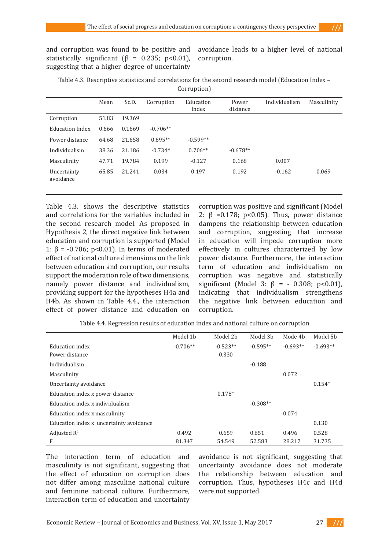and corruption was found to be positive and statistically significant ( $\beta$  = 0.235; p<0.01), suggesting that a higher degree of uncertainty

avoidance leads to a higher level of national corruption.

Table 4.3. Descriptive statistics and correlations for the second research model (Education Index – Corruption)

|                          | Mean  | Sc.D.  | Corruption | Education<br>Index | Power<br>distance | Individualism | Masculinity |
|--------------------------|-------|--------|------------|--------------------|-------------------|---------------|-------------|
| Corruption               | 51.83 | 19.369 |            |                    |                   |               |             |
| <b>Education Index</b>   | 0.666 | 0.1669 | $-0.706**$ |                    |                   |               |             |
| Power distance           | 64.68 | 21.658 | $0.695**$  | $-0.599**$         |                   |               |             |
| Individualism            | 38.36 | 21.186 | $-0.734*$  | $0.706**$          | $-0.678**$        |               |             |
| Masculinity              | 47.71 | 19.784 | 0.199      | $-0.127$           | 0.168             | 0.007         |             |
| Uncertainty<br>avoidance | 65.85 | 21.241 | 0.034      | 0.197              | 0.192             | $-0.162$      | 0.069       |

Table 4.3. shows the descriptive statistics and correlations for the variables included in the second research model. As proposed in Hypothesis 2, the direct negative link between education and corruption is supported (Model 1:  $β = -0.706$ ; p<0.01). In terms of moderated effect of national culture dimensions on the link between education and corruption, our results support the moderation role of two dimensions, namely power distance and individualism, providing support for the hypotheses H4a and H4b. As shown in Table 4.4., the interaction effect of power distance and education on

corruption was positive and significant (Model 2:  $\beta$  =0.178; p<0.05). Thus, power distance dampens the relationship between education and corruption, suggesting that increase in education will impede corruption more effectively in cultures characterized by low power distance. Furthermore, the interaction term of education and individualism on corruption was negative and statistically significant (Model 3:  $\beta$  = - 0.308; p<0.01), indicating that individualism strengthens the negative link between education and corruption.

Table 4.4. Regression results of education index and national culture on corruption

|                                         | Model 1b   | Model 2b   | Model 3b   | Mode 4b    | Model 5 <sub>b</sub> |
|-----------------------------------------|------------|------------|------------|------------|----------------------|
| Education index                         | $-0.706**$ | $-0.523**$ | $-0.595**$ | $-0.693**$ | $-0.693**$           |
| Power distance                          |            | 0.330      |            |            |                      |
| Individualism                           |            |            | $-0.188$   |            |                      |
| Masculinity                             |            |            |            | 0.072      |                      |
| Uncertainty avoidance                   |            |            |            |            | $0.154*$             |
| Education index x power distance        |            | $0.178*$   |            |            |                      |
| Education index x individualism         |            |            | $-0.308**$ |            |                      |
| Education index x masculinity           |            |            |            | 0.074      |                      |
| Education index x uncertainty avoidance |            |            |            |            | 0.130                |
| Adjusted $\mathbb{R}^2$                 | 0.492      | 0.659      | 0.651      | 0.496      | 0.528                |
| F                                       | 81.347     | 54.549     | 52.583     | 28.217     | 31.735               |

The interaction term of education and masculinity is not significant, suggesting that the effect of education on corruption does not differ among masculine national culture and feminine national culture. Furthermore, interaction term of education and uncertainty

avoidance is not significant, suggesting that uncertainty avoidance does not moderate the relationship between education and corruption. Thus, hypotheses H4c and H4d were not supported.

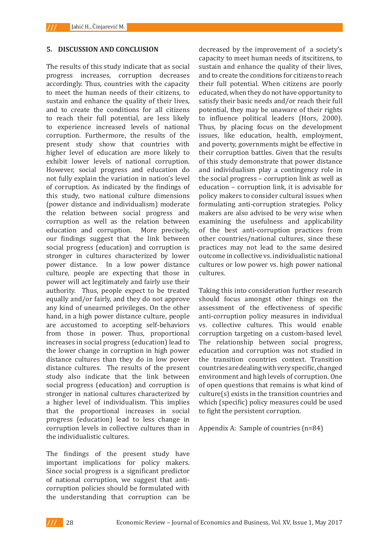#### **5. DISCUSSION AND CONCLUSION**

The results of this study indicate that as social progress increases, corruption decreases accordingly. Thus, countries with the capacity to meet the human needs of their citizens, to sustain and enhance the quality of their lives, and to create the conditions for all citizens to reach their full potential, are less likely to experience increased levels of national corruption. Furthermore, the results of the present study show that countries with higher level of education are more likely to exhibit lower levels of national corruption. However, social progress and education do not fully explain the variation in nation's level of corruption. As indicated by the findings of this study, two national culture dimensions (power distance and individualism) moderate the relation between social progress and corruption as well as the relation between education and corruption. More precisely, our findings suggest that the link between social progress (education) and corruption is stronger in cultures characterized by lower power distance. In a low power distance culture, people are expecting that those in power will act legitimately and fairly use their authority. Thus, people expect to be treated equally and/or fairly, and they do not approve any kind of unearned privileges. On the other hand, in a high power distance culture, people are accustomed to accepting self-behaviors from those in power. Thus, proportional increases in social progress (education) lead to the lower change in corruption in high power distance cultures than they do in low power distance cultures. The results of the present study also indicate that the link between social progress (education) and corruption is stronger in national cultures characterized by a higher level of individualism. This implies that the proportional increases in social progress (education) lead to less change in corruption levels in collective cultures than in the individualistic cultures.

The findings of the present study have important implications for policy makers. Since social progress is a significant predictor of national corruption, we suggest that anticorruption policies should be formulated with the understanding that corruption can be

decreased by the improvement of a society's capacity to meet human needs of itscitizens, to sustain and enhance the quality of their lives, and to create the conditions for citizens to reach their full potential. When citizens are poorly educated, when they do not have opportunity to satisfy their basic needs and/or reach their full potential, they may be unaware of their rights to influence political leaders (Hors, 2000). Thus, by placing focus on the development issues, like education, health, employment, and poverty, governments might be effective in their corruption battles. Given that the results of this study demonstrate that power distance and individualism play a contingency role in the social progress – corruption link as well as education – corruption link, it is advisable for policy makers to consider cultural issues when formulating anti-corruption strategies. Policy makers are also advised to be very wise when examining the usefulness and applicability of the best anti-corruption practices from other countries/national cultures, since these practices may not lead to the same desired outcome in collective vs. individualistic national cultures or low power vs. high power national cultures.

Taking this into consideration further research should focus amongst other things on the assessment of the effectiveness of specific anti-corruption policy measures in individual vs. collective cultures. This would enable corruption targeting on a custom-based level. The relationship between social progress, education and corruption was not studied in the transition countries context. Transition countries are dealing with very specific, changed environment and high levels of corruption. One of open questions that remains is what kind of culture(s) exists in the transition countries and which (specific) policy measures could be used to fight the persistent corruption.

Appendix A: Sample of countries (n=84)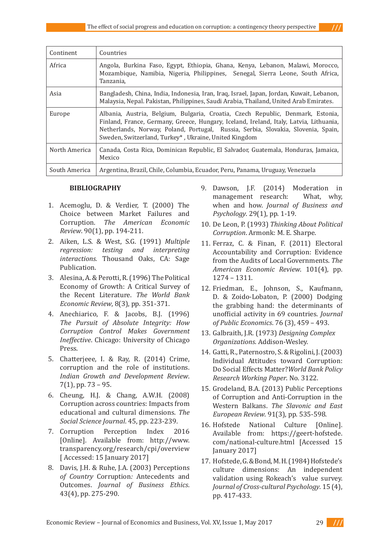| Continent     | Countries                                                                                                                                                                                                                                                                                                               |
|---------------|-------------------------------------------------------------------------------------------------------------------------------------------------------------------------------------------------------------------------------------------------------------------------------------------------------------------------|
| Africa        | Angola, Burkina Faso, Egypt, Ethiopia, Ghana, Kenya, Lebanon, Malawi, Morocco,<br>Mozambique, Namibia, Nigeria, Philippines, Senegal, Sierra Leone, South Africa,<br>Tanzania,                                                                                                                                          |
| Asia          | Bangladesh, China, India, Indonesia, Iran, Iraq, Israel, Japan, Jordan, Kuwait, Lebanon,<br>Malaysia, Nepal. Pakistan, Philippines, Saudi Arabia, Thailand, United Arab Emirates.                                                                                                                                       |
| Europe        | Albania, Austria, Belgium, Bulgaria, Croatia, Czech Republic, Denmark, Estonia,<br>Finland, France, Germany, Greece, Hungary, Iceland, Ireland, Italy, Latvia, Lithuania,<br>Netherlands, Norway, Poland, Portugal, Russia, Serbia, Slovakia, Slovenia, Spain,<br>Sweden, Switzerland, Turkey*, Ukraine, United Kingdom |
| North America | Canada, Costa Rica, Dominican Republic, El Salvador, Guatemala, Honduras, Jamaica,<br>Mexico                                                                                                                                                                                                                            |
| South America | Argentina, Brazil, Chile, Columbia, Ecuador, Peru, Panama, Uruguay, Venezuela                                                                                                                                                                                                                                           |

#### **BIBLIOGRAPHY**

- 1. Acemoglu, D. & Verdier, T. (2000) The Choice between Market Failures and Corruption. *The American Economic Review*. 90(1), pp. 194-211.
- 2. Aiken, L.S. & West, S.G. (1991) *Multiple regression: testing and interpreting interactions.* Thousand Oaks, CA: Sage Publication.
- 3. Alesina, A. & Perotti, R. (1996) The Political Economy of Growth: A Critical Survey of the Recent Literature. *The World Bank Economic Review*, 8(3), pp. 351-371.
- 4. Anechiarico, F. & Jacobs, B.J. (1996) *The Pursuit of Absolute Integrity: How Corruption Control Makes Government Ineffective*. Chicago: University of Chicago Press.
- 5. Chatterjeee, I. & Ray, R. (2014) Crime, corruption and the role of institutions. *Indian Growth and Development Review*. 7(1), pp. 73 – 95.
- 6. Cheung, H.J. & Chang, A.W.H. (2008) Corruption across countries: Impacts from educational and cultural dimensions. *The Social Science Journal*. 45, pp. 223-239.
- 7. Corruption Perception Index 2016 [Online]. Available from: http://www. transparency.org/research/cpi/overview [ Accessed: 15 January 2017]
- 8. Davis*,* J.H. & Ruhe, J.A. (2003) Perceptions *of Country* Corruption*:* Antecedents and Outcomes. *Journal of Business Ethics*. 43(4), pp. 275-290.
- 9. Dawson, J.F. (2014) Moderation in<br>management research: What, why, management research: when and how. *Journal of Business and Psychology*. 29(1), pp. 1-19.
- 10. De Leon, P. (1993) *Thinking About Political Corruption*. Armonk: M. E. Sharpe.
- 11. Ferraz, C. & Finan, F. (2011) Electoral Accountability and Corruption: Evidence from the Audits of Local Governments. *The American Economic Review*. 101(4), pp. 1274 – 1311.
- 12. Friedman, E., Johnson, S., Kaufmann, D. & Zoido-Lobaton, P. (2000) Dodging the grabbing hand: the determinants of unofficial activity in 69 countries. *Journal of Public Economics*. 76 (3), 459 – 493.
- 13. Galbraith, J.R. (1973) *Designing Complex Organizations*. Addison-Wesley.
- 14. Gatti, R., Paternostro, S. & Rigolini, J. (2003) Individual Attitudes toward Corruption: Do Social Effects Matter?*World Bank Policy Research Working Paper*. No. 3122.
- 15. Grodeland, B.A. (2013) Public Perceptions of Corruption and Anti-Corruption in the Western Balkans. *The Slavonic and East European Review*. 91(3), pp. 535-598.
- 16. Hofstede National Culture [Online]. Available from: https://geert-hofstede. com/national-culture.html [Accessed 15 January 2017]
- 17. Hofstede, G. & Bond, M. H. (1984) Hofstede's culture dimensions: An independent validation using Rokeach's value survey. *Journal of Cross-cultural Psychology*. 15 (4), pp. 417-433.

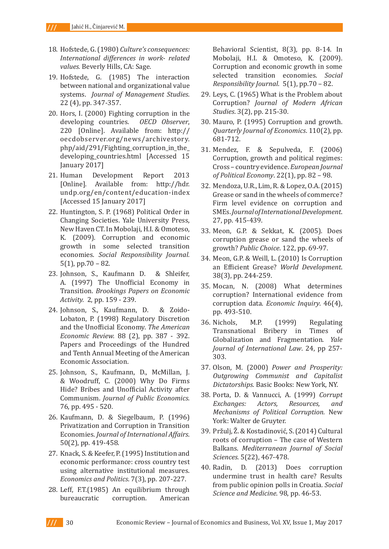- 18. Hofstede, G. (1980) *Culture's consequences: International differences in work- related values.* Beverly Hills, CA: Sage.
- 19. Hofstede, G. (1985) The interaction between national and organizational value systems. *Journal of Management Studies*. 22 (4), pp. 347-357.
- 20. Hors, I. (2000) Fighting corruption in the developing countries. *OECD Observer*, 220 [Online]. Available from: http:// oecdobserver.org/news/archivestory. php/aid/291/Fighting\_corruption\_in\_the\_ developing\_countries.html [Accessed 15 January 2017]
- 21. Human Development Report 2013 [Online]. Available from: http://hdr. undp.org/en/content/education-index [Accessed 15 January 2017]
- 22. Huntington, S. P. (1968) Political Order in Changing Societies. Yale University Press, New Haven CT. In Mobolaji, H.I. & Omoteso, K. (2009). Corruption and economic growth in some selected transition economies. *Social Responsibility Journal.*  5(1), pp.70 – 82.
- 23. Johnson, S., Kaufmann D. & Shleifer, A. (1997) The Unofficial Economy in Transition. *Brookings Papers on Economic Activity.* 2, pp. 159 - 239.
- 24. Johnson, S., Kaufmann, D. & Zoido-Lobaton, P. (1998) Regulatory Discretion and the Unofficial Economy. *The American Economic Review.* 88 (2), pp. 387 - 392. Papers and Proceedings of the Hundred and Tenth Annual Meeting of the American Economic Association.
- 25. Johnson, S., Kaufmann, D., McMillan, J. & Woodruff, C. (2000) Why Do Firms Hide? Bribes and Unofficial Activity after Communism. *Journal of Public Economics.*  76, pp. 495 - 520.
- 26. Kaufmann, D. & Siegelbaum, P. (1996) Privatization and Corruption in Transition Economies. *Journal of International Affairs*. 50(2), pp. 419-458.
- 27. Knack, S. & Keefer, P. (1995) Institution and economic performance: cross country test using alternative institutional measures. *Economics and Politics*. 7(3), pp. 207-227.
- 28. Leff, F.T.(1985) An equilibrium through<br>bureaucratic corruption. American corruption.

Behavioral Scientist, 8(3), pp. 8-14. In Mobolaji, H.I. & Omoteso, K. (2009). Corruption and economic growth in some selected transition economies. *Social Responsibility Journal*. 5(1), pp.70 – 82.

- 29. Leys, C. (1965) What is the Problem about Corruption? *Journal of Modern African Studies*. 3(2), pp. 215-30.
- 30. Mauro, P. (1995) Corruption and growth. *Quarterly Journal of Economics*. 110(2), pp. 681-712.
- 31. Mendez, F. & Sepulveda, F. (2006) Corruption, growth and political regimes: Cross – country evidence. *European Journal of Political Economy*. 22(1), pp. 82 – 98.
- 32. Mendoza, U.R., Lim, R. & Lopez, O.A. (2015) Grease or sand in the wheels of commerce? Firm level evidence on corruption and SMEs. *Journal of International Development*. 27, pp. 415-439.
- 33. Meon, G.P. & Sekkat, K. (2005). Does corruption grease or sand the wheels of growth? *Public Choice*. 122, pp. 69-97.
- 34. Meon, G.P. & Weill, L. (2010) Is Corruption an Efficient Grease? *World Development*. 38(3), pp. 244-259.
- 35. Mocan, N. (2008) What determines corruption? International evidence from corruption data. *Economic Inquiry*. 46(4), pp. 493-510.
- 36. Nichols, M.P. (1999) Regulating Transnational Bribery in Globalization and Fragmentation. *Yale Journal of International Law*. 24, pp 257- 303.
- 37. Olson, M. (2000) *Power and Prosperity: Outgrowing Communist and Capitalist Dictatorships*. Basic Books: New York, NY.
- 38. Porta, D. & Vannucci, A. (1999) *Corrupt Exchanges: Mechanisms of Political Corruption.* New York: Walter de Gruyter.
- 39. Pržulj, Ž. & Kostadinović, S. (2014) Cultural roots of corruption – The case of Western Balkans. *Mediterranean Journal of Social Sciences.* 5(22), 467-478.
- 40. Radin, D. (2013) Does corruption undermine trust in health care? Results from public opinion polls in Croatia*. Social Science and Medicine*. 98, pp. 46-53.